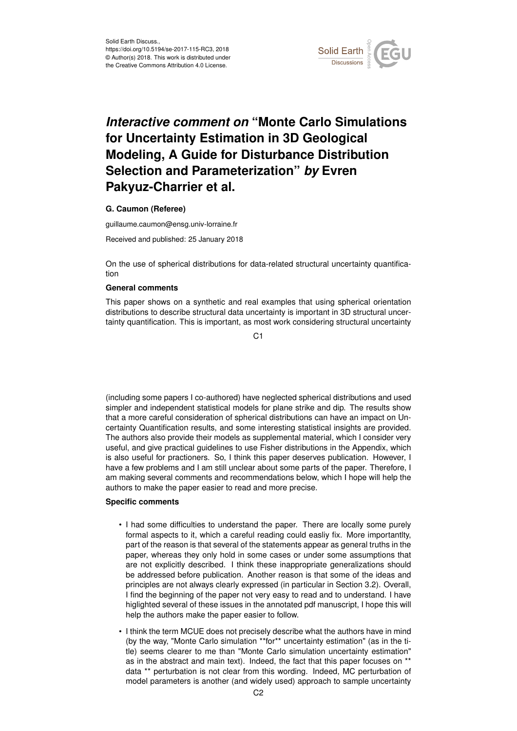

## *Interactive comment on* **"Monte Carlo Simulations for Uncertainty Estimation in 3D Geological Modeling, A Guide for Disturbance Distribution Selection and Parameterization"** *by* **Evren Pakyuz-Charrier et al.**

## **G. Caumon (Referee)**

guillaume.caumon@ensg.univ-lorraine.fr

Received and published: 25 January 2018

On the use of spherical distributions for data-related structural uncertainty quantification

## **General comments**

This paper shows on a synthetic and real examples that using spherical orientation distributions to describe structural data uncertainty is important in 3D structural uncertainty quantification. This is important, as most work considering structural uncertainty

 $C<sub>1</sub>$ 

(including some papers I co-authored) have neglected spherical distributions and used simpler and independent statistical models for plane strike and dip. The results show that a more careful consideration of spherical distributions can have an impact on Uncertainty Quantification results, and some interesting statistical insights are provided. The authors also provide their models as supplemental material, which I consider very useful, and give practical guidelines to use Fisher distributions in the Appendix, which is also useful for practioners. So, I think this paper deserves publication. However, I have a few problems and I am still unclear about some parts of the paper. Therefore, I am making several comments and recommendations below, which I hope will help the authors to make the paper easier to read and more precise.

## **Specific comments**

- I had some difficulties to understand the paper. There are locally some purely formal aspects to it, which a careful reading could easliy fix. More importantlty, part of the reason is that several of the statements appear as general truths in the paper, whereas they only hold in some cases or under some assumptions that are not explicitly described. I think these inappropriate generalizations should be addressed before publication. Another reason is that some of the ideas and principles are not always clearly expressed (in particular in Section 3.2). Overall, I find the beginning of the paper not very easy to read and to understand. I have higlighted several of these issues in the annotated pdf manuscript, I hope this will help the authors make the paper easier to follow.
- I think the term MCUE does not precisely describe what the authors have in mind (by the way, "Monte Carlo simulation \*\*for\*\* uncertainty estimation" (as in the title) seems clearer to me than "Monte Carlo simulation uncertainty estimation" as in the abstract and main text). Indeed, the fact that this paper focuses on \*\* data \*\* perturbation is not clear from this wording. Indeed, MC perturbation of model parameters is another (and widely used) approach to sample uncertainty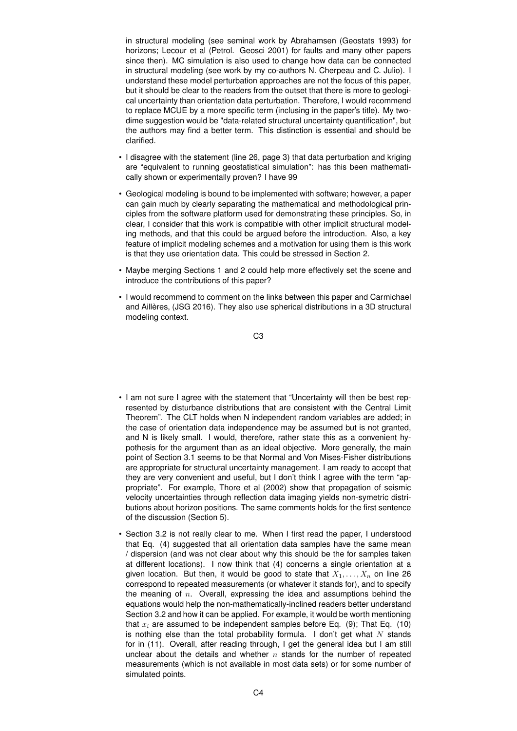in structural modeling (see seminal work by Abrahamsen (Geostats 1993) for horizons; Lecour et al (Petrol. Geosci 2001) for faults and many other papers since then). MC simulation is also used to change how data can be connected in structural modeling (see work by my co-authors N. Cherpeau and C. Julio). I understand these model perturbation approaches are not the focus of this paper, but it should be clear to the readers from the outset that there is more to geological uncertainty than orientation data perturbation. Therefore, I would recommend to replace MCUE by a more specific term (inclusing in the paper's title). My twodime suggestion would be "data-related structural uncertainty quantification", but the authors may find a better term. This distinction is essential and should be clarified.

- I disagree with the statement (line 26, page 3) that data perturbation and kriging are "equivalent to running geostatistical simulation": has this been mathematically shown or experimentally proven? I have 99
- Geological modeling is bound to be implemented with software; however, a paper can gain much by clearly separating the mathematical and methodological principles from the software platform used for demonstrating these principles. So, in clear, I consider that this work is compatible with other implicit structural modeling methods, and that this could be argued before the introduction. Also, a key feature of implicit modeling schemes and a motivation for using them is this work is that they use orientation data. This could be stressed in Section 2.
- Maybe merging Sections 1 and 2 could help more effectively set the scene and introduce the contributions of this paper?
- I would recommend to comment on the links between this paper and Carmichael and Aillères, (JSG 2016). They also use spherical distributions in a 3D structural modeling context.

C3

- I am not sure I agree with the statement that "Uncertainty will then be best represented by disturbance distributions that are consistent with the Central Limit Theorem". The CLT holds when N independent random variables are added; in the case of orientation data independence may be assumed but is not granted, and N is likely small. I would, therefore, rather state this as a convenient hypothesis for the argument than as an ideal objective. More generally, the main point of Section 3.1 seems to be that Normal and Von Mises-Fisher distributions are appropriate for structural uncertainty management. I am ready to accept that they are very convenient and useful, but I don't think I agree with the term "appropriate". For example, Thore et al (2002) show that propagation of seismic velocity uncertainties through reflection data imaging yields non-symetric distributions about horizon positions. The same comments holds for the first sentence of the discussion (Section 5).
- Section 3.2 is not really clear to me. When I first read the paper, I understood that Eq. (4) suggested that all orientation data samples have the same mean / dispersion (and was not clear about why this should be the for samples taken at different locations). I now think that (4) concerns a single orientation at a given location. But then, it would be good to state that  $X_1, \ldots, X_n$  on line 26 correspond to repeated measurements (or whatever it stands for), and to specify the meaning of  $n$ . Overall, expressing the idea and assumptions behind the equations would help the non-mathematically-inclined readers better understand Section 3.2 and how it can be applied. For example, it would be worth mentioning that  $x_i$  are assumed to be independent samples before Eq. (9); That Eq. (10) is nothing else than the total probability formula. I don't get what  $N$  stands for in (11). Overall, after reading through, I get the general idea but I am still unclear about the details and whether  $n$  stands for the number of repeated measurements (which is not available in most data sets) or for some number of simulated points.